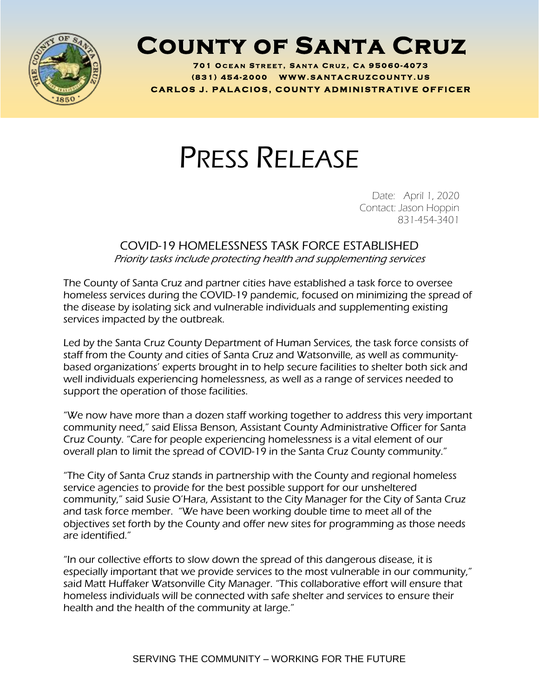

## **County of Santa Cruz**

**701 O C E A N S T R E E T , S A N T A C R U Z , C A 95060 - 4073 ( 8 3 1 ) <sup>454</sup> - <sup>200</sup> <sup>0</sup> W W W . S A N T A C R U Z C O U N T Y . U S C A R L O S J . P A L A C I O S , C O U N T Y A D M I N I S T R A T I V E O F F I C E R**

## PRESS RELEASE

Date: April 1, 2020 Contact: Jason Hoppin 831-454-3401

## COVID-19 HOMELESSNESS TASK FORCE ESTABLISHED Priority tasks include protecting health and supplementing services

The County of Santa Cruz and partner cities have established a task force to oversee homeless services during the COVID-19 pandemic, focused on minimizing the spread of the disease by isolating sick and vulnerable individuals and supplementing existing services impacted by the outbreak.

Led by the Santa Cruz County Department of Human Services, the task force consists of staff from the County and cities of Santa Cruz and Watsonville, as well as communitybased organizations' experts brought in to help secure facilities to shelter both sick and well individuals experiencing homelessness, as well as a range of services needed to support the operation of those facilities.

"We now have more than a dozen staff working together to address this very important community need," said Elissa Benson, Assistant County Administrative Officer for Santa Cruz County. "Care for people experiencing homelessness is a vital element of our overall plan to limit the spread of COVID-19 in the Santa Cruz County community."

"The City of Santa Cruz stands in partnership with the County and regional homeless service agencies to provide for the best possible support for our unsheltered community," said Susie O'Hara, Assistant to the City Manager for the City of Santa Cruz and task force member. "We have been working double time to meet all of the objectives set forth by the County and offer new sites for programming as those needs are identified."

"In our collective efforts to slow down the spread of this dangerous disease, it is especially important that we provide services to the most vulnerable in our community," said Matt Huffaker Watsonville City Manager. "This collaborative effort will ensure that homeless individuals will be connected with safe shelter and services to ensure their health and the health of the community at large."